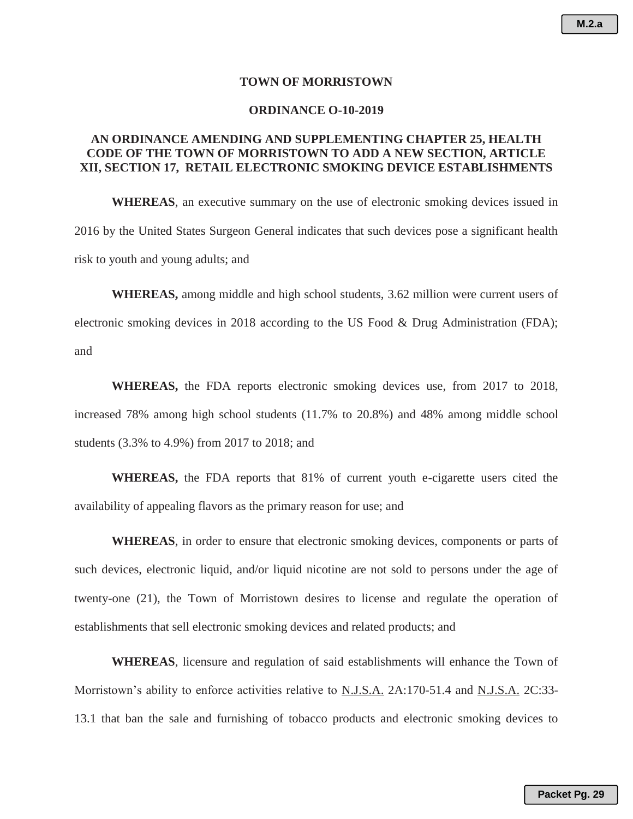## **TOWN OF MORRISTOWN**

## **ORDINANCE O-10-2019**

# **AN ORDINANCE AMENDING AND SUPPLEMENTING CHAPTER 25, HEALTH CODE OF THE TOWN OF MORRISTOWN TO ADD A NEW SECTION, ARTICLE XII, SECTION 17, RETAIL ELECTRONIC SMOKING DEVICE ESTABLISHMENTS**

**WHEREAS**, an executive summary on the use of electronic smoking devices issued in 2016 by the United States Surgeon General indicates that such devices pose a significant health risk to youth and young adults; and

**WHEREAS,** among middle and high school students, 3.62 million were current users of electronic smoking devices in 2018 according to the US Food & Drug Administration (FDA); and

**WHEREAS,** the FDA reports electronic smoking devices use, from 2017 to 2018, increased 78% among high school students (11.7% to 20.8%) and 48% among middle school students (3.3% to 4.9%) from 2017 to 2018; and

**WHEREAS,** the FDA reports that 81% of current youth e-cigarette users cited the availability of appealing flavors as the primary reason for use; and

**WHEREAS**, in order to ensure that electronic smoking devices, components or parts of such devices, electronic liquid, and/or liquid nicotine are not sold to persons under the age of twenty-one (21), the Town of Morristown desires to license and regulate the operation of establishments that sell electronic smoking devices and related products; and

**WHEREAS**, licensure and regulation of said establishments will enhance the Town of Morristown's ability to enforce activities relative to N.J.S.A. 2A:170-51.4 and N.J.S.A. 2C:33- 13.1 that ban the sale and furnishing of tobacco products and electronic smoking devices to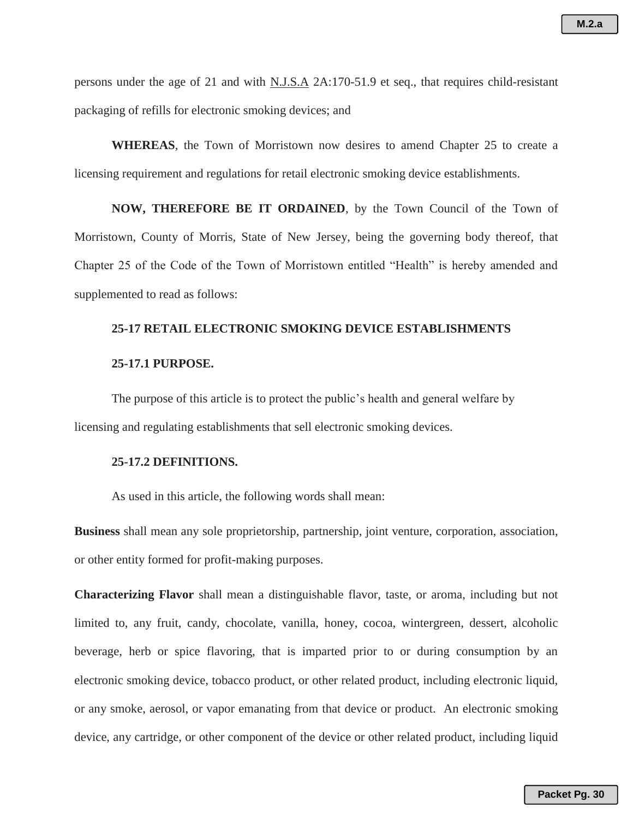persons under the age of 21 and with N.J.S.A 2A:170-51.9 et seq., that requires child-resistant packaging of refills for electronic smoking devices; and

**WHEREAS**, the Town of Morristown now desires to amend Chapter 25 to create a licensing requirement and regulations for retail electronic smoking device establishments.

**NOW, THEREFORE BE IT ORDAINED**, by the Town Council of the Town of Morristown, County of Morris, State of New Jersey, being the governing body thereof, that Chapter 25 of the Code of the Town of Morristown entitled "Health" is hereby amended and supplemented to read as follows:

# **25-17 RETAIL ELECTRONIC SMOKING DEVICE ESTABLISHMENTS**

# **25-17.1 PURPOSE.**

The purpose of this article is to protect the public's health and general welfare by licensing and regulating establishments that sell electronic smoking devices.

### **25-17.2 DEFINITIONS.**

As used in this article, the following words shall mean:

**Business** shall mean any sole proprietorship, partnership, joint venture, corporation, association, or other entity formed for profit-making purposes.

**Characterizing Flavor** shall mean a distinguishable flavor, taste, or aroma, including but not limited to, any fruit, candy, chocolate, vanilla, honey, cocoa, wintergreen, dessert, alcoholic beverage, herb or spice flavoring, that is imparted prior to or during consumption by an electronic smoking device, tobacco product, or other related product, including electronic liquid, or any smoke, aerosol, or vapor emanating from that device or product. An electronic smoking device, any cartridge, or other component of the device or other related product, including liquid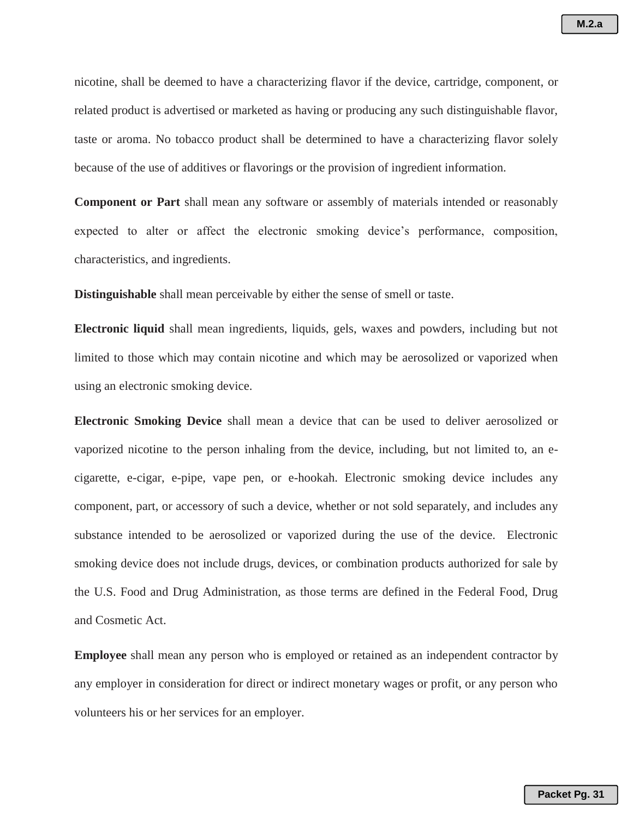nicotine, shall be deemed to have a characterizing flavor if the device, cartridge, component, or related product is advertised or marketed as having or producing any such distinguishable flavor, taste or aroma. No tobacco product shall be determined to have a characterizing flavor solely because of the use of additives or flavorings or the provision of ingredient information.

**Component or Part** shall mean any software or assembly of materials intended or reasonably expected to alter or affect the electronic smoking device's performance, composition, characteristics, and ingredients.

**Distinguishable** shall mean perceivable by either the sense of smell or taste.

**Electronic liquid** shall mean ingredients, liquids, gels, waxes and powders, including but not limited to those which may contain nicotine and which may be aerosolized or vaporized when using an electronic smoking device.

**Electronic Smoking Device** shall mean a device that can be used to deliver aerosolized or vaporized nicotine to the person inhaling from the device, including, but not limited to, an ecigarette, e-cigar, e-pipe, vape pen, or e-hookah. Electronic smoking device includes any component, part, or accessory of such a device, whether or not sold separately, and includes any substance intended to be aerosolized or vaporized during the use of the device. Electronic smoking device does not include drugs, devices, or combination products authorized for sale by the U.S. Food and Drug Administration, as those terms are defined in the Federal Food, Drug and Cosmetic Act.

**Employee** shall mean any person who is employed or retained as an independent contractor by any employer in consideration for direct or indirect monetary wages or profit, or any person who volunteers his or her services for an employer.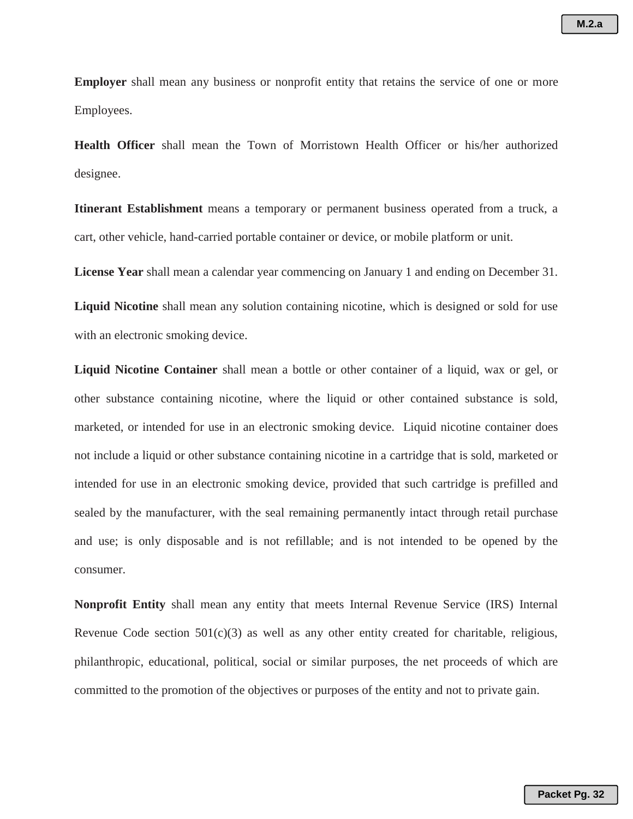**Employer** shall mean any business or nonprofit entity that retains the service of one or more Employees.

**Health Officer** shall mean the Town of Morristown Health Officer or his/her authorized designee.

**Itinerant Establishment** means a temporary or permanent business operated from a truck, a cart, other vehicle, hand-carried portable container or device, or mobile platform or unit.

**License Year** shall mean a calendar year commencing on January 1 and ending on December 31.

**Liquid Nicotine** shall mean any solution containing nicotine, which is designed or sold for use with an electronic smoking device.

**Liquid Nicotine Container** shall mean a bottle or other container of a liquid, wax or gel, or other substance containing nicotine, where the liquid or other contained substance is sold, marketed, or intended for use in an electronic smoking device. Liquid nicotine container does not include a liquid or other substance containing nicotine in a cartridge that is sold, marketed or intended for use in an electronic smoking device, provided that such cartridge is prefilled and sealed by the manufacturer, with the seal remaining permanently intact through retail purchase and use; is only disposable and is not refillable; and is not intended to be opened by the consumer.

**Nonprofit Entity** shall mean any entity that meets Internal Revenue Service (IRS) Internal Revenue Code section  $501(c)(3)$  as well as any other entity created for charitable, religious, philanthropic, educational, political, social or similar purposes, the net proceeds of which are committed to the promotion of the objectives or purposes of the entity and not to private gain.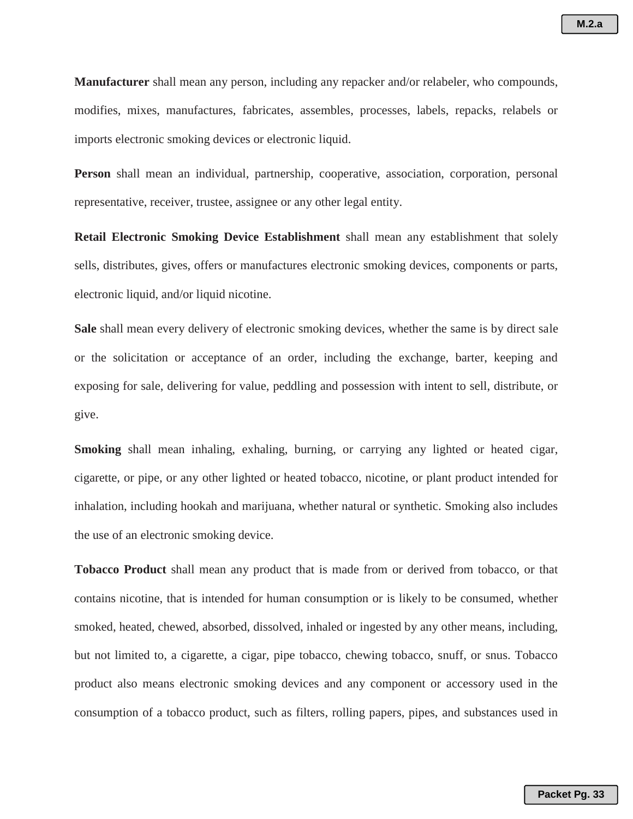**Manufacturer** shall mean any person, including any repacker and/or relabeler, who compounds, modifies, mixes, manufactures, fabricates, assembles, processes, labels, repacks, relabels or imports electronic smoking devices or electronic liquid.

**Person** shall mean an individual, partnership, cooperative, association, corporation, personal representative, receiver, trustee, assignee or any other legal entity.

**Retail Electronic Smoking Device Establishment** shall mean any establishment that solely sells, distributes, gives, offers or manufactures electronic smoking devices, components or parts, electronic liquid, and/or liquid nicotine.

**Sale** shall mean every delivery of electronic smoking devices, whether the same is by direct sale or the solicitation or acceptance of an order, including the exchange, barter, keeping and exposing for sale, delivering for value, peddling and possession with intent to sell, distribute, or give.

**Smoking** shall mean inhaling, exhaling, burning, or carrying any lighted or heated cigar, cigarette, or pipe, or any other lighted or heated tobacco, nicotine, or plant product intended for inhalation, including hookah and marijuana, whether natural or synthetic. Smoking also includes the use of an electronic smoking device.

**Tobacco Product** shall mean any product that is made from or derived from tobacco, or that contains nicotine, that is intended for human consumption or is likely to be consumed, whether smoked, heated, chewed, absorbed, dissolved, inhaled or ingested by any other means, including, but not limited to, a cigarette, a cigar, pipe tobacco, chewing tobacco, snuff, or snus. Tobacco product also means electronic smoking devices and any component or accessory used in the consumption of a tobacco product, such as filters, rolling papers, pipes, and substances used in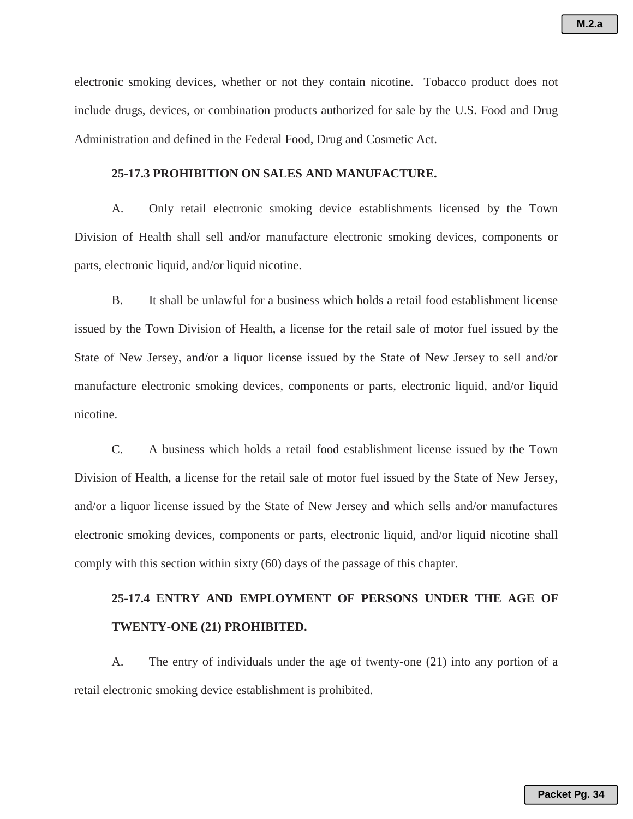electronic smoking devices, whether or not they contain nicotine. Tobacco product does not include drugs, devices, or combination products authorized for sale by the U.S. Food and Drug Administration and defined in the Federal Food, Drug and Cosmetic Act.

# **25-17.3 PROHIBITION ON SALES AND MANUFACTURE.**

A. Only retail electronic smoking device establishments licensed by the Town Division of Health shall sell and/or manufacture electronic smoking devices, components or parts, electronic liquid, and/or liquid nicotine.

B. It shall be unlawful for a business which holds a retail food establishment license issued by the Town Division of Health, a license for the retail sale of motor fuel issued by the State of New Jersey, and/or a liquor license issued by the State of New Jersey to sell and/or manufacture electronic smoking devices, components or parts, electronic liquid, and/or liquid nicotine.

C. A business which holds a retail food establishment license issued by the Town Division of Health, a license for the retail sale of motor fuel issued by the State of New Jersey, and/or a liquor license issued by the State of New Jersey and which sells and/or manufactures electronic smoking devices, components or parts, electronic liquid, and/or liquid nicotine shall comply with this section within sixty (60) days of the passage of this chapter.

# **25-17.4 ENTRY AND EMPLOYMENT OF PERSONS UNDER THE AGE OF TWENTY-ONE (21) PROHIBITED.**

A. The entry of individuals under the age of twenty-one (21) into any portion of a retail electronic smoking device establishment is prohibited.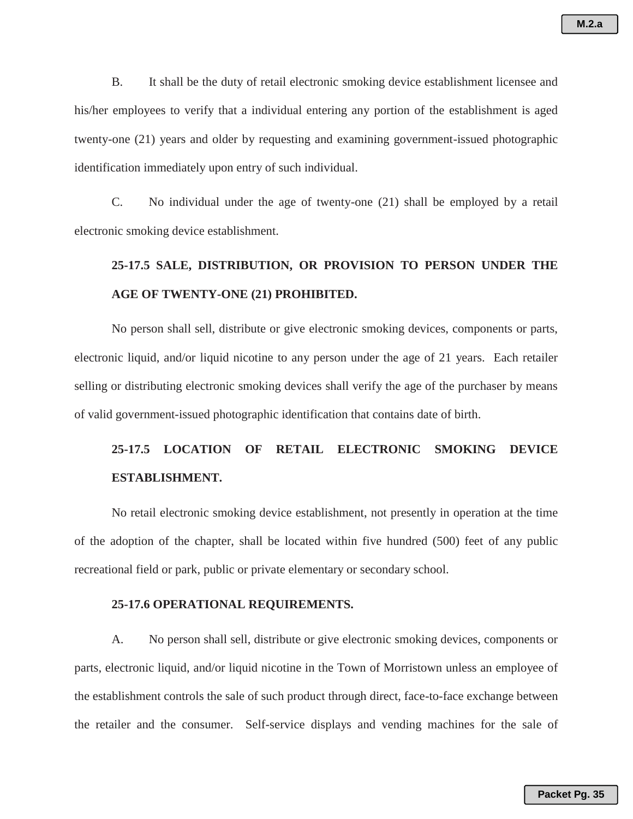B. It shall be the duty of retail electronic smoking device establishment licensee and his/her employees to verify that a individual entering any portion of the establishment is aged twenty-one (21) years and older by requesting and examining government-issued photographic identification immediately upon entry of such individual.

C. No individual under the age of twenty-one (21) shall be employed by a retail electronic smoking device establishment.

# **25-17.5 SALE, DISTRIBUTION, OR PROVISION TO PERSON UNDER THE AGE OF TWENTY-ONE (21) PROHIBITED.**

No person shall sell, distribute or give electronic smoking devices, components or parts, electronic liquid, and/or liquid nicotine to any person under the age of 21 years. Each retailer selling or distributing electronic smoking devices shall verify the age of the purchaser by means of valid government-issued photographic identification that contains date of birth.

# **25-17.5 LOCATION OF RETAIL ELECTRONIC SMOKING DEVICE ESTABLISHMENT.**

No retail electronic smoking device establishment, not presently in operation at the time of the adoption of the chapter, shall be located within five hundred (500) feet of any public recreational field or park, public or private elementary or secondary school.

# **25-17.6 OPERATIONAL REQUIREMENTS.**

A. No person shall sell, distribute or give electronic smoking devices, components or parts, electronic liquid, and/or liquid nicotine in the Town of Morristown unless an employee of the establishment controls the sale of such product through direct, face-to-face exchange between the retailer and the consumer. Self-service displays and vending machines for the sale of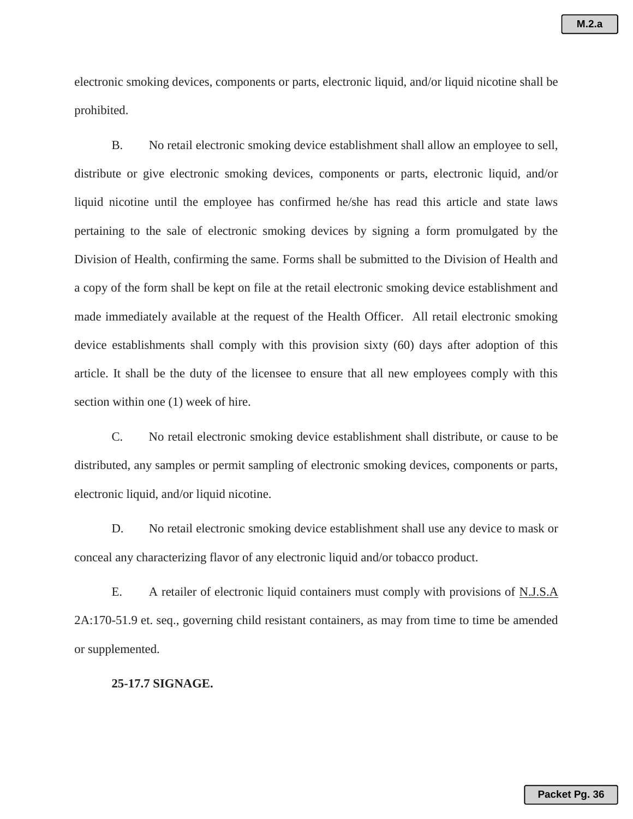electronic smoking devices, components or parts, electronic liquid, and/or liquid nicotine shall be prohibited.

B. No retail electronic smoking device establishment shall allow an employee to sell, distribute or give electronic smoking devices, components or parts, electronic liquid, and/or liquid nicotine until the employee has confirmed he/she has read this article and state laws pertaining to the sale of electronic smoking devices by signing a form promulgated by the Division of Health, confirming the same. Forms shall be submitted to the Division of Health and a copy of the form shall be kept on file at the retail electronic smoking device establishment and made immediately available at the request of the Health Officer. All retail electronic smoking device establishments shall comply with this provision sixty (60) days after adoption of this article. It shall be the duty of the licensee to ensure that all new employees comply with this section within one (1) week of hire.

C. No retail electronic smoking device establishment shall distribute, or cause to be distributed, any samples or permit sampling of electronic smoking devices, components or parts, electronic liquid, and/or liquid nicotine.

D. No retail electronic smoking device establishment shall use any device to mask or conceal any characterizing flavor of any electronic liquid and/or tobacco product.

E. A retailer of electronic liquid containers must comply with provisions of N.J.S.A 2A:170-51.9 et. seq., governing child resistant containers, as may from time to time be amended or supplemented.

## **25-17.7 SIGNAGE.**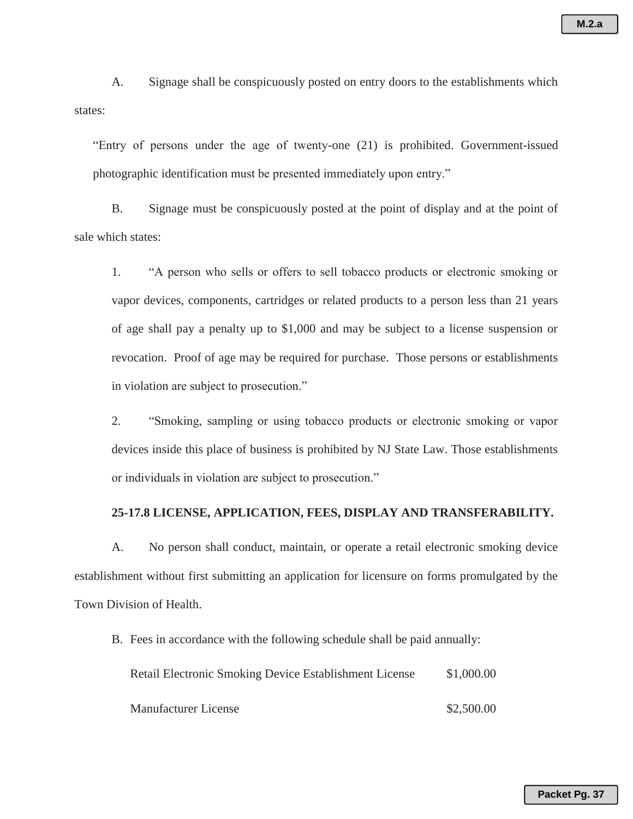A. Signage shall be conspicuously posted on entry doors to the establishments which states:

"Entry of persons under the age of twenty-one (21) is prohibited. Government-issued photographic identification must be presented immediately upon entry."

B. Signage must be conspicuously posted at the point of display and at the point of sale which states:

1. "A person who sells or offers to sell tobacco products or electronic smoking or vapor devices, components, cartridges or related products to a person less than 21 years of age shall pay a penalty up to \$1,000 and may be subject to a license suspension or revocation. Proof of age may be required for purchase. Those persons or establishments in violation are subject to prosecution."

2. "Smoking, sampling or using tobacco products or electronic smoking or vapor devices inside this place of business is prohibited by NJ State Law. Those establishments or individuals in violation are subject to prosecution."

# **25-17.8 LICENSE, APPLICATION, FEES, DISPLAY AND TRANSFERABILITY.**

A. No person shall conduct, maintain, or operate a retail electronic smoking device establishment without first submitting an application for licensure on forms promulgated by the Town Division of Health.

B. Fees in accordance with the following schedule shall be paid annually:

| Retail Electronic Smoking Device Establishment License | \$1,000.00 |
|--------------------------------------------------------|------------|
| <b>Manufacturer License</b>                            | \$2,500.00 |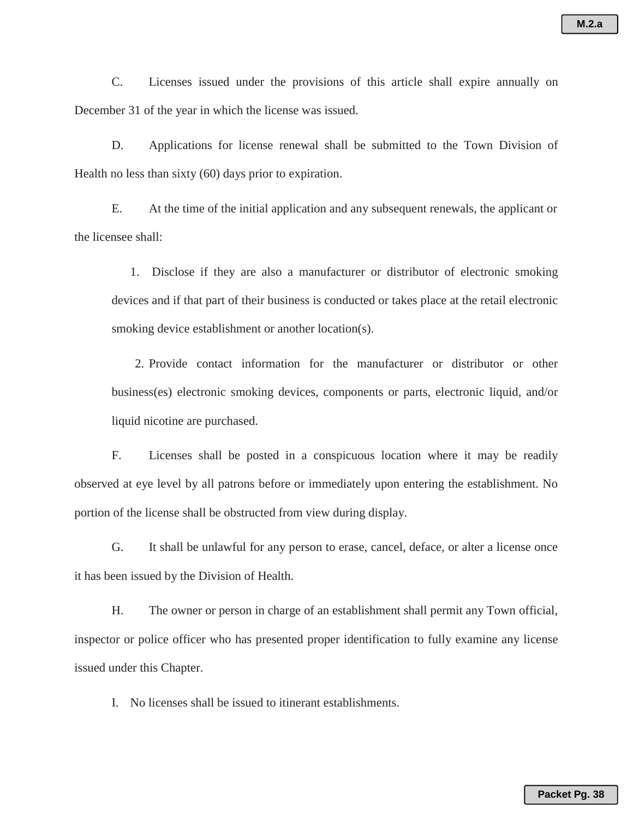C. Licenses issued under the provisions of this article shall expire annually on December 31 of the year in which the license was issued.

D. Applications for license renewal shall be submitted to the Town Division of Health no less than sixty (60) days prior to expiration.

E. At the time of the initial application and any subsequent renewals, the applicant or the licensee shall:

1. Disclose if they are also a manufacturer or distributor of electronic smoking devices and if that part of their business is conducted or takes place at the retail electronic smoking device establishment or another location(s).

2. Provide contact information for the manufacturer or distributor or other business(es) electronic smoking devices, components or parts, electronic liquid, and/or liquid nicotine are purchased.

F. Licenses shall be posted in a conspicuous location where it may be readily observed at eye level by all patrons before or immediately upon entering the establishment. No portion of the license shall be obstructed from view during display.

G. It shall be unlawful for any person to erase, cancel, deface, or alter a license once it has been issued by the Division of Health.

H. The owner or person in charge of an establishment shall permit any Town official, inspector or police officer who has presented proper identification to fully examine any license issued under this Chapter.

I. No licenses shall be issued to itinerant establishments.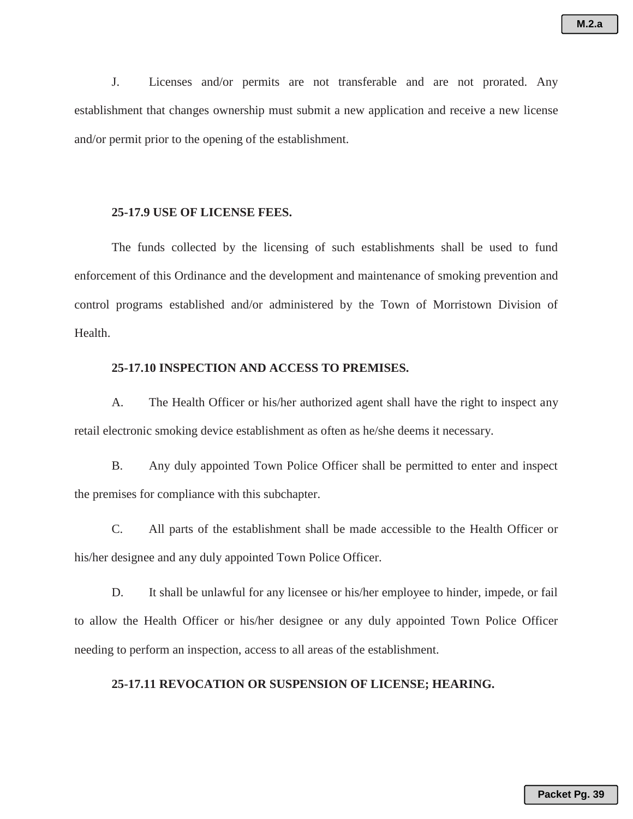J. Licenses and/or permits are not transferable and are not prorated. Any establishment that changes ownership must submit a new application and receive a new license and/or permit prior to the opening of the establishment.

### **25-17.9 USE OF LICENSE FEES.**

The funds collected by the licensing of such establishments shall be used to fund enforcement of this Ordinance and the development and maintenance of smoking prevention and control programs established and/or administered by the Town of Morristown Division of Health.

# **25-17.10 INSPECTION AND ACCESS TO PREMISES.**

A. The Health Officer or his/her authorized agent shall have the right to inspect any retail electronic smoking device establishment as often as he/she deems it necessary.

B. Any duly appointed Town Police Officer shall be permitted to enter and inspect the premises for compliance with this subchapter.

C. All parts of the establishment shall be made accessible to the Health Officer or his/her designee and any duly appointed Town Police Officer.

D. It shall be unlawful for any licensee or his/her employee to hinder, impede, or fail to allow the Health Officer or his/her designee or any duly appointed Town Police Officer needing to perform an inspection, access to all areas of the establishment.

# **25-17.11 REVOCATION OR SUSPENSION OF LICENSE; HEARING.**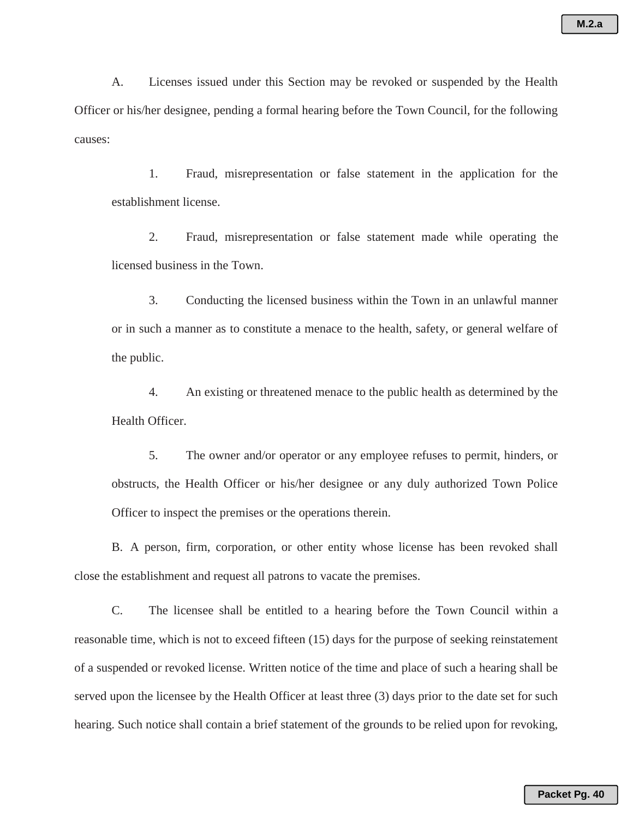A. Licenses issued under this Section may be revoked or suspended by the Health Officer or his/her designee, pending a formal hearing before the Town Council, for the following causes:

1. Fraud, misrepresentation or false statement in the application for the establishment license.

2. Fraud, misrepresentation or false statement made while operating the licensed business in the Town.

3. Conducting the licensed business within the Town in an unlawful manner or in such a manner as to constitute a menace to the health, safety, or general welfare of the public.

4. An existing or threatened menace to the public health as determined by the Health Officer.

5. The owner and/or operator or any employee refuses to permit, hinders, or obstructs, the Health Officer or his/her designee or any duly authorized Town Police Officer to inspect the premises or the operations therein.

B. A person, firm, corporation, or other entity whose license has been revoked shall close the establishment and request all patrons to vacate the premises.

C. The licensee shall be entitled to a hearing before the Town Council within a reasonable time, which is not to exceed fifteen (15) days for the purpose of seeking reinstatement of a suspended or revoked license. Written notice of the time and place of such a hearing shall be served upon the licensee by the Health Officer at least three (3) days prior to the date set for such hearing. Such notice shall contain a brief statement of the grounds to be relied upon for revoking,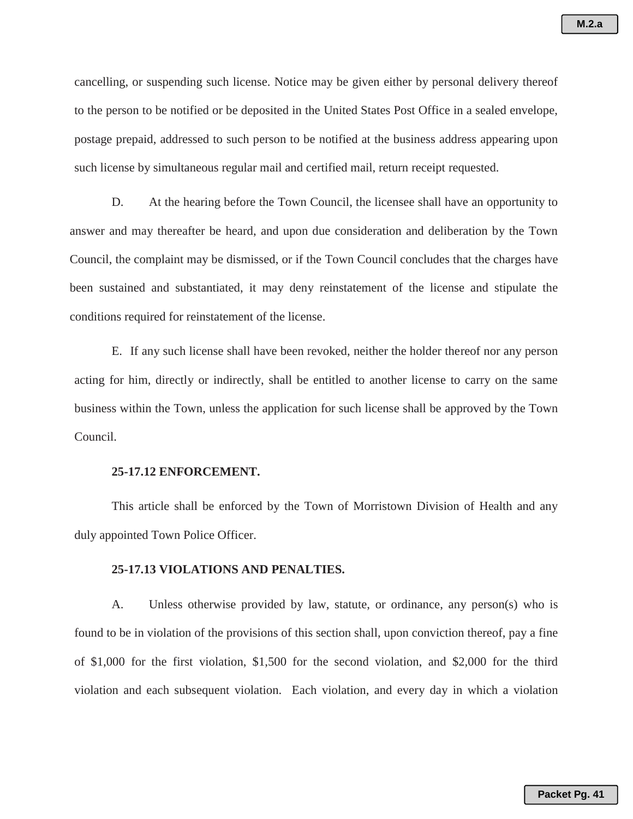cancelling, or suspending such license. Notice may be given either by personal delivery thereof to the person to be notified or be deposited in the United States Post Office in a sealed envelope, postage prepaid, addressed to such person to be notified at the business address appearing upon such license by simultaneous regular mail and certified mail, return receipt requested.

D. At the hearing before the Town Council, the licensee shall have an opportunity to answer and may thereafter be heard, and upon due consideration and deliberation by the Town Council, the complaint may be dismissed, or if the Town Council concludes that the charges have been sustained and substantiated, it may deny reinstatement of the license and stipulate the conditions required for reinstatement of the license.

E. If any such license shall have been revoked, neither the holder thereof nor any person acting for him, directly or indirectly, shall be entitled to another license to carry on the same business within the Town, unless the application for such license shall be approved by the Town Council.

#### **25-17.12 ENFORCEMENT.**

This article shall be enforced by the Town of Morristown Division of Health and any duly appointed Town Police Officer.

# **25-17.13 VIOLATIONS AND PENALTIES.**

A. Unless otherwise provided by law, statute, or ordinance, any person(s) who is found to be in violation of the provisions of this section shall, upon conviction thereof, pay a fine of \$1,000 for the first violation, \$1,500 for the second violation, and \$2,000 for the third violation and each subsequent violation. Each violation, and every day in which a violation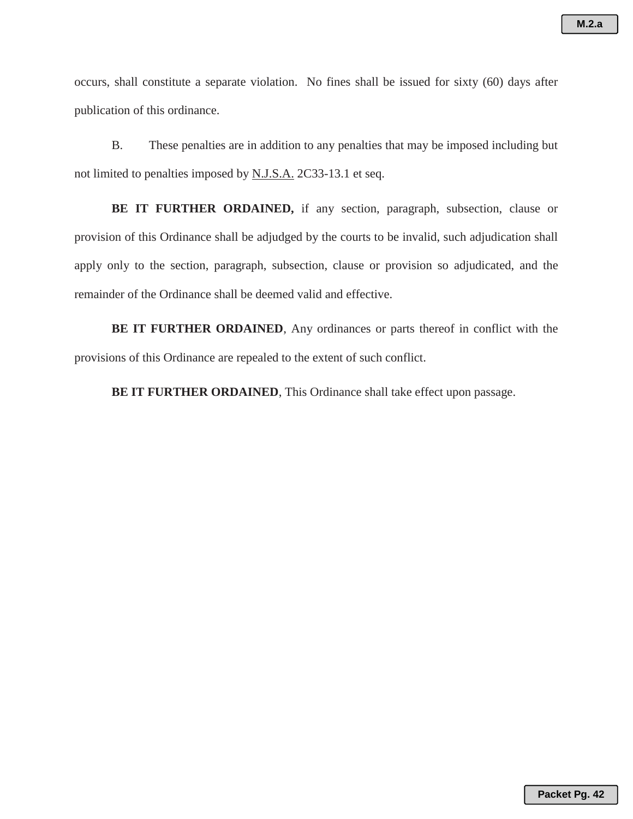occurs, shall constitute a separate violation. No fines shall be issued for sixty (60) days after publication of this ordinance.

B. These penalties are in addition to any penalties that may be imposed including but not limited to penalties imposed by N.J.S.A. 2C33-13.1 et seq.

 **BE IT FURTHER ORDAINED,** if any section, paragraph, subsection, clause or provision of this Ordinance shall be adjudged by the courts to be invalid, such adjudication shall apply only to the section, paragraph, subsection, clause or provision so adjudicated, and the remainder of the Ordinance shall be deemed valid and effective.

**BE IT FURTHER ORDAINED**, Any ordinances or parts thereof in conflict with the provisions of this Ordinance are repealed to the extent of such conflict.

**BE IT FURTHER ORDAINED**, This Ordinance shall take effect upon passage.